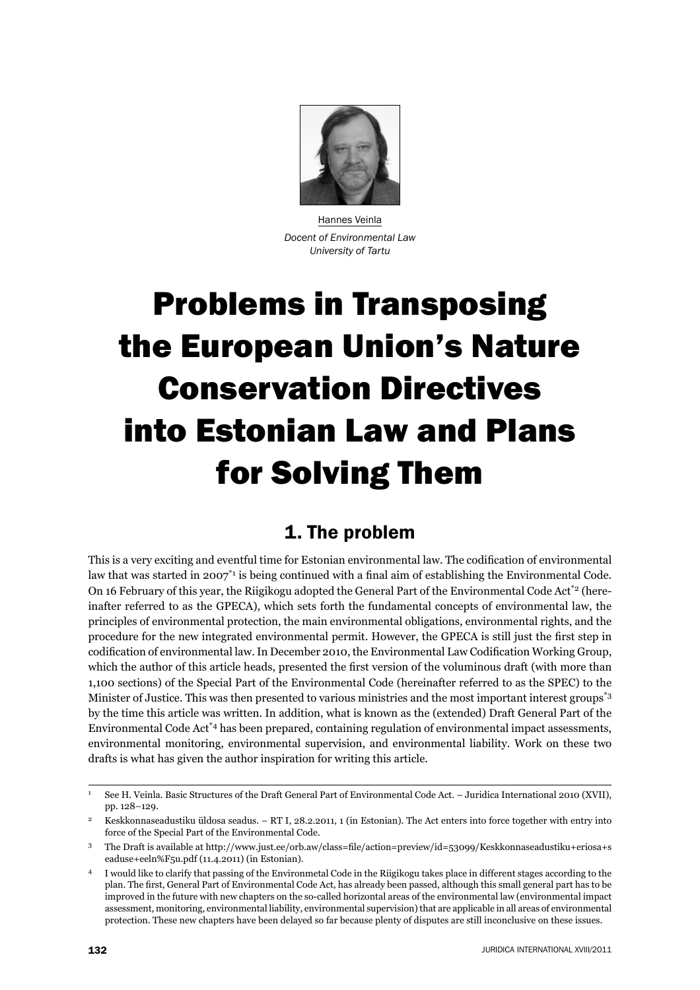

Hannes Veinla *Docent of Environmental Law University of Tartu*

# Problems in Transposing the European Union's Nature Conservation Directives into Estonian Law and Plans for Solving Them

## 1. The problem

This is a very exciting and eventful time for Estonian environmental law. The codification of environmental law that was started in 2007<sup>\*1</sup> is being continued with a final aim of establishing the Environmental Code. On 16 February of this year, the Riigikogu adopted the General Part of the Environmental Code Act<sup>\*2</sup> (hereinafter referred to as the GPECA), which sets forth the fundamental concepts of environmental law, the principles of environmental protection, the main environmental obligations, environmental rights, and the procedure for the new integrated environmental permit. However, the GPECA is still just the first step in codification of environmental law. In December 2010, the Environmental Law Codification Working Group, which the author of this article heads, presented the first version of the voluminous draft (with more than 1,100 sections) of the Special Part of the Environmental Code (hereinafter referred to as the SPEC) to the Minister of Justice. This was then presented to various ministries and the most important interest groups\*3 by the time this article was written. In addition, what is known as the (extended) Draft General Part of the Environmental Code Act\*4 has been prepared, containing regulation of environmental impact assessments, environmental monitoring, environmental supervision, and environmental liability. Work on these two drafts is what has given the author inspiration for writing this article.

<sup>1</sup> See H. Veinla. Basic Structures of the Draft General Part of Environmental Code Act. – Juridica International 2010 (XVII), pp. 128–129.

<sup>2</sup> Keskkonnaseadustiku üldosa seadus. – RT I, 28.2.2011, 1 (in Estonian). The Act enters into force together with entry into force of the Special Part of the Environmental Code.

<sup>&</sup>lt;sup>3</sup> The Draft is available at http://www.just.ee/orb.aw/class=file/action=preview/id=53099/Keskkonnaseadustiku+eriosa+s eaduse+eeln%F5u.pdf (11.4.2011) (in Estonian).

<sup>4</sup> I would like to clarify that passing of the Environmetal Code in the Riigikogu takes place in different stages according to the plan. The fi rst, General Part of Environmental Code Act, has already been passed, although this small general part has to be improved in the future with new chapters on the so-called horizontal areas of the environmental law (environmental impact assessment, monitoring, environmental liability, environmental supervision) that are applicable in all areas of environmental protection. These new chapters have been delayed so far because plenty of disputes are still inconclusive on these issues.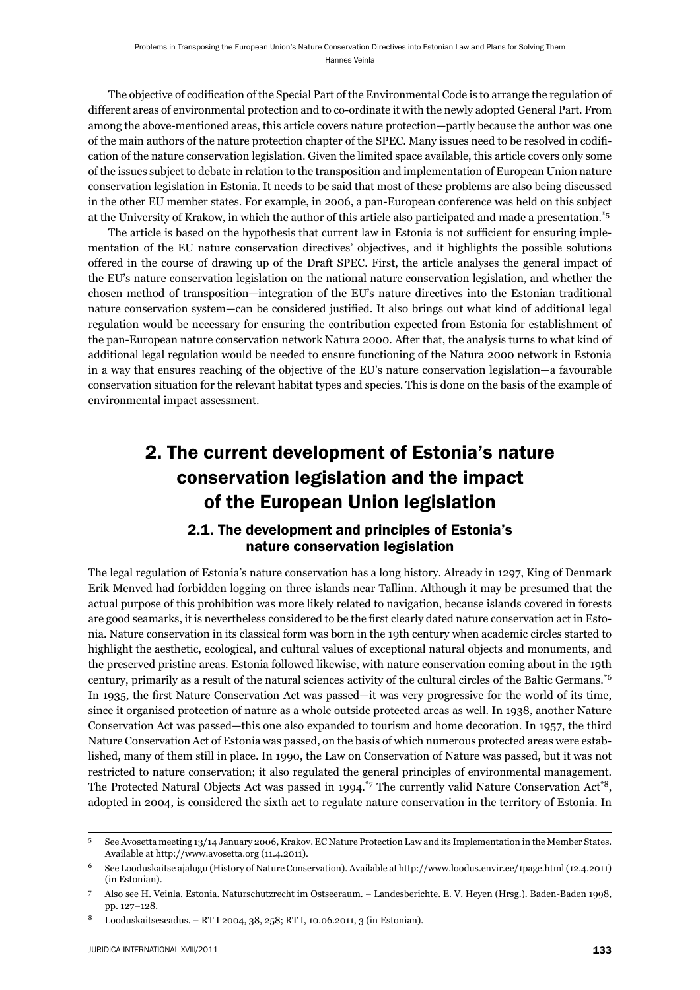The objective of codification of the Special Part of the Environmental Code is to arrange the regulation of different areas of environmental protection and to co-ordinate it with the newly adopted General Part. From among the above-mentioned areas, this article covers nature protection—partly because the author was one of the main authors of the nature protection chapter of the SPEC. Many issues need to be resolved in codifi cation of the nature conservation legislation. Given the limited space available, this article covers only some of the issues subject to debate in relation to the transposition and implementation of European Union nature conservation legislation in Estonia. It needs to be said that most of these problems are also being discussed in the other EU member states. For example, in 2006, a pan-European conference was held on this subject at the University of Krakow, in which the author of this article also participated and made a presentation.\*5

The article is based on the hypothesis that current law in Estonia is not sufficient for ensuring implementation of the EU nature conservation directives' objectives, and it highlights the possible solutions offered in the course of drawing up of the Draft SPEC. First, the article analyses the general impact of the EU's nature conservation legislation on the national nature conservation legislation, and whether the chosen method of transposition—integration of the EU's nature directives into the Estonian traditional nature conservation system—can be considered justified. It also brings out what kind of additional legal regulation would be necessary for ensuring the contribution expected from Estonia for establishment of the pan-European nature conservation network Natura 2000. After that, the analysis turns to what kind of additional legal regulation would be needed to ensure functioning of the Natura 2000 network in Estonia in a way that ensures reaching of the objective of the EU's nature conservation legislation—a favourable conservation situation for the relevant habitat types and species. This is done on the basis of the example of environmental impact assessment.

## 2. The current development of Estonia's nature conservation legislation and the impact of the European Union legislation

## 2.1. The development and principles of Estonia's nature conservation legislation

The legal regulation of Estonia's nature conservation has a long history. Already in 1297, King of Denmark Erik Menved had forbidden logging on three islands near Tallinn. Although it may be presumed that the actual purpose of this prohibition was more likely related to navigation, because islands covered in forests are good seamarks, it is nevertheless considered to be the first clearly dated nature conservation act in Estonia. Nature conservation in its classical form was born in the 19th century when academic circles started to highlight the aesthetic, ecological, and cultural values of exceptional natural objects and monuments, and the preserved pristine areas. Estonia followed likewise, with nature conservation coming about in the 19th century, primarily as a result of the natural sciences activity of the cultural circles of the Baltic Germans.\*6 In 1935, the first Nature Conservation Act was passed—it was very progressive for the world of its time, since it organised protection of nature as a whole outside protected areas as well. In 1938, another Nature Conservation Act was passed—this one also expanded to tourism and home decoration. In 1957, the third Nature Conservation Act of Estonia was passed, on the basis of which numerous protected areas were established, many of them still in place. In 1990, the Law on Conservation of Nature was passed, but it was not restricted to nature conservation; it also regulated the general principles of environmental management. The Protected Natural Objects Act was passed in 1994.<sup>\*7</sup> The currently valid Nature Conservation Act<sup>\*8</sup>, adopted in 2004, is considered the sixth act to regulate nature conservation in the territory of Estonia. In

<sup>5</sup> See Avosetta meeting 13/14 January 2006, Krakov. EC Nature Protection Law and its Implementation in the Member States. Available at http://www.avosetta.org (11.4.2011).

<sup>6</sup> See Looduskaitse ajalugu (History of Nature Conservation). Available at http://www.loodus.envir.ee/1page.html (12.4.2011) (in Estonian).

<sup>7</sup> Also see H. Veinla. Estonia. Naturschutzrecht im Ostseeraum. – Landesberichte. E. V. Heyen (Hrsg.). Baden-Baden 1998, pp. 127–128.

<sup>8</sup> Looduskaitseseadus. – RT I 2004, 38, 258; RT I, 10.06.2011, 3 (in Estonian).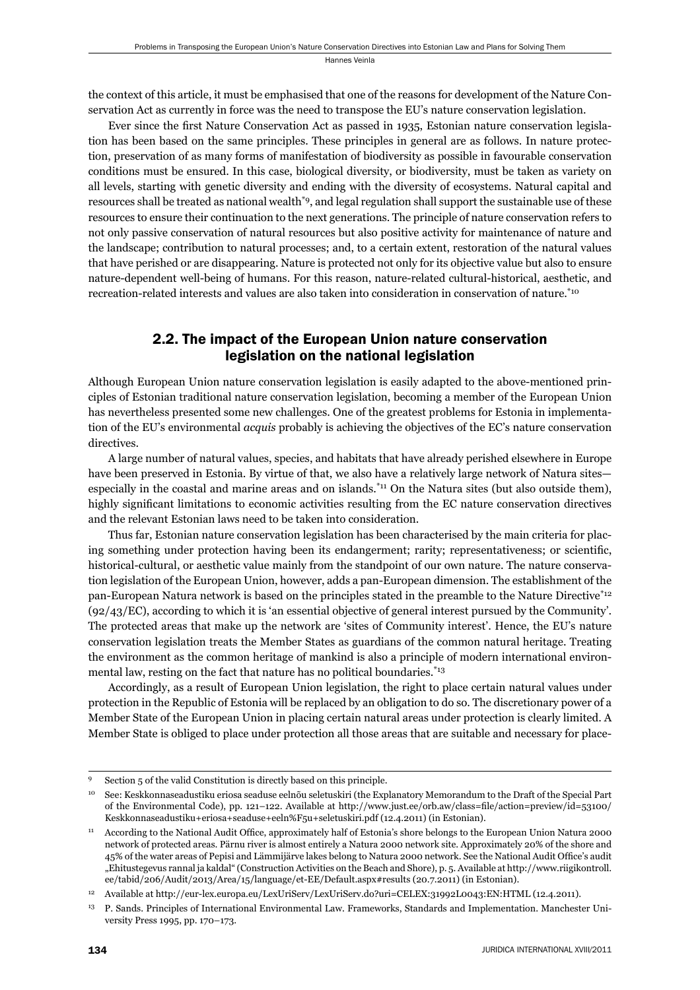the context of this article, it must be emphasised that one of the reasons for development of the Nature Conservation Act as currently in force was the need to transpose the EU's nature conservation legislation.

Ever since the first Nature Conservation Act as passed in 1935, Estonian nature conservation legislation has been based on the same principles. These principles in general are as follows. In nature protection, preservation of as many forms of manifestation of biodiversity as possible in favourable conservation conditions must be ensured. In this case, biological diversity, or biodiversity, must be taken as variety on all levels, starting with genetic diversity and ending with the diversity of ecosystems. Natural capital and resources shall be treated as national wealth\*9, and legal regulation shall support the sustainable use of these resources to ensure their continuation to the next generations. The principle of nature conservation refers to not only passive conservation of natural resources but also positive activity for maintenance of nature and the landscape; contribution to natural processes; and, to a certain extent, restoration of the natural values that have perished or are disappearing. Nature is protected not only for its objective value but also to ensure nature-dependent well-being of humans. For this reason, nature-related cultural-historical, aesthetic, and recreation-related interests and values are also taken into consideration in conservation of nature.\*10

## 2.2. The impact of the European Union nature conservation legislation on the national legislation

Although European Union nature conservation legislation is easily adapted to the above-mentioned principles of Estonian traditional nature conservation legislation, becoming a member of the European Union has nevertheless presented some new challenges. One of the greatest problems for Estonia in implementation of the EU's environmental *acquis* probably is achieving the objectives of the EC's nature conservation directives.

A large number of natural values, species, and habitats that have already perished elsewhere in Europe have been preserved in Estonia. By virtue of that, we also have a relatively large network of Natura sites especially in the coastal and marine areas and on islands.<sup>\*11</sup> On the Natura sites (but also outside them), highly significant limitations to economic activities resulting from the EC nature conservation directives and the relevant Estonian laws need to be taken into consideration.

Thus far, Estonian nature conservation legislation has been characterised by the main criteria for placing something under protection having been its endangerment; rarity; representativeness; or scientific, historical-cultural, or aesthetic value mainly from the standpoint of our own nature. The nature conservation legislation of the European Union, however, adds a pan-European dimension. The establishment of the pan-European Natura network is based on the principles stated in the preamble to the Nature Directive\*12 (92/43/EC), according to which it is 'an essential objective of general interest pursued by the Community'. The protected areas that make up the network are 'sites of Community interest'. Hence, the EU's nature conservation legislation treats the Member States as guardians of the common natural heritage. Treating the environment as the common heritage of mankind is also a principle of modern international environmental law, resting on the fact that nature has no political boundaries.<sup>\*13</sup>

Accordingly, as a result of European Union legislation, the right to place certain natural values under protection in the Republic of Estonia will be replaced by an obligation to do so. The discretionary power of a Member State of the European Union in placing certain natural areas under protection is clearly limited. A Member State is obliged to place under protection all those areas that are suitable and necessary for place-

Section 5 of the valid Constitution is directly based on this principle.

<sup>10</sup> See: Keskkonnaseadustiku eriosa seaduse eelnõu seletuskiri (the Explanatory Memorandum to the Draft of the Special Part of the Environmental Code), pp. 121-122. Available at http://www.just.ee/orb.aw/class=file/action=preview/id=53100/ Keskkonnaseadustiku+eriosa+seaduse+eeln%F5u+seletuskiri.pdf (12.4.2011) (in Estonian).

According to the National Audit Office, approximately half of Estonia's shore belongs to the European Union Natura 2000 network of protected areas. Pärnu river is almost entirely a Natura 2000 network site. Approximately 20% of the shore and 45% of the water areas of Pepisi and Lämmijärve lakes belong to Natura 2000 network. See the National Audit Office's audit "Ehitustegevus rannal ja kaldal" (Construction Activities on the Beach and Shore), p. 5. Available at http://www.riigikontroll. ee/tabid/206/Audit/2013/Area/15/language/et-EE/Default.aspx#results (20.7.2011) (in Estonian).

<sup>12</sup> Available at http://eur-lex.europa.eu/LexUriServ/LexUriServ.do?uri=CELEX:31992L0043:EN:HTML (12.4.2011).

<sup>13</sup> P. Sands. Principles of International Environmental Law. Frameworks, Standards and Implementation. Manchester University Press 1995, pp. 170–173.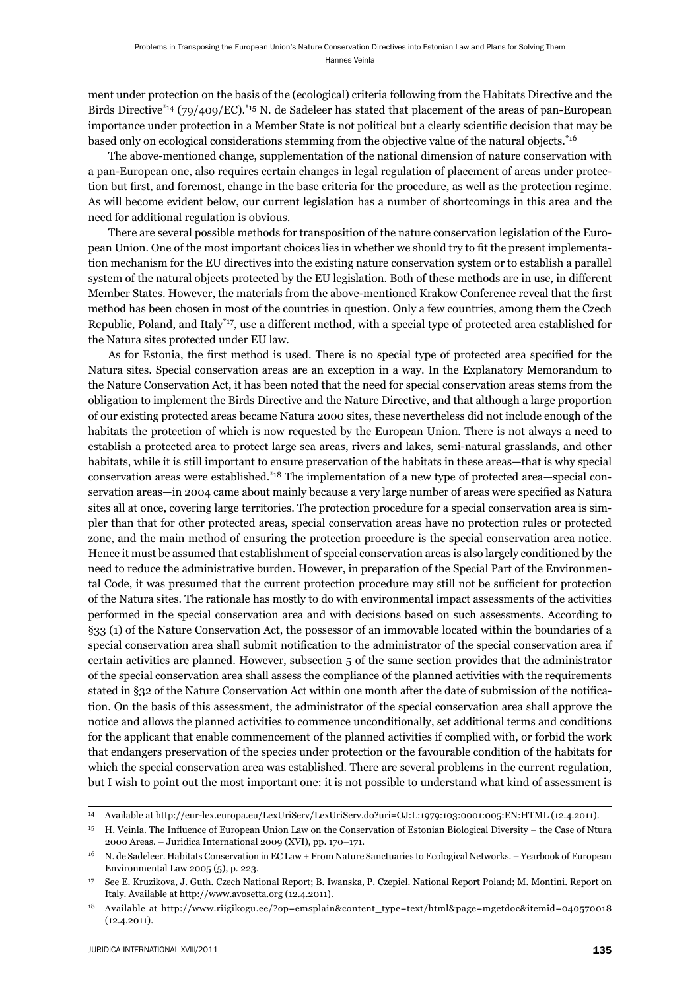ment under protection on the basis of the (ecological) criteria following from the Habitats Directive and the Birds Directive<sup>\*14</sup> (79/409/EC).<sup>\*15</sup> N. de Sadeleer has stated that placement of the areas of pan-European importance under protection in a Member State is not political but a clearly scientific decision that may be based only on ecological considerations stemming from the objective value of the natural objects.\*16

The above-mentioned change, supplementation of the national dimension of nature conservation with a pan-European one, also requires certain changes in legal regulation of placement of areas under protection but first, and foremost, change in the base criteria for the procedure, as well as the protection regime. As will become evident below, our current legislation has a number of shortcomings in this area and the need for additional regulation is obvious.

There are several possible methods for transposition of the nature conservation legislation of the European Union. One of the most important choices lies in whether we should try to fit the present implementation mechanism for the EU directives into the existing nature conservation system or to establish a parallel system of the natural objects protected by the EU legislation. Both of these methods are in use, in different Member States. However, the materials from the above-mentioned Krakow Conference reveal that the first method has been chosen in most of the countries in question. Only a few countries, among them the Czech Republic, Poland, and Italy\*17, use a different method, with a special type of protected area established for the Natura sites protected under EU law.

As for Estonia, the first method is used. There is no special type of protected area specified for the Natura sites. Special conservation areas are an exception in a way. In the Explanatory Memorandum to the Nature Conservation Act, it has been noted that the need for special conservation areas stems from the obligation to implement the Birds Directive and the Nature Directive, and that although a large proportion of our existing protected areas became Natura 2000 sites, these nevertheless did not include enough of the habitats the protection of which is now requested by the European Union. There is not always a need to establish a protected area to protect large sea areas, rivers and lakes, semi-natural grasslands, and other habitats, while it is still important to ensure preservation of the habitats in these areas—that is why special conservation areas were established.\*18 The implementation of a new type of protected area—special conservation areas—in 2004 came about mainly because a very large number of areas were specified as Natura sites all at once, covering large territories. The protection procedure for a special conservation area is simpler than that for other protected areas, special conservation areas have no protection rules or protected zone, and the main method of ensuring the protection procedure is the special conservation area notice. Hence it must be assumed that establishment of special conservation areas is also largely conditioned by the need to reduce the administrative burden. However, in preparation of the Special Part of the Environmental Code, it was presumed that the current protection procedure may still not be sufficient for protection of the Natura sites. The rationale has mostly to do with environmental impact assessments of the activities performed in the special conservation area and with decisions based on such assessments. According to §33 (1) of the Nature Conservation Act, the possessor of an immovable located within the boundaries of a special conservation area shall submit notification to the administrator of the special conservation area if certain activities are planned. However, subsection 5 of the same section provides that the administrator of the special conservation area shall assess the compliance of the planned activities with the requirements stated in §32 of the Nature Conservation Act within one month after the date of submission of the notification. On the basis of this assessment, the administrator of the special conservation area shall approve the notice and allows the planned activities to commence unconditionally, set additional terms and conditions for the applicant that enable commencement of the planned activities if complied with, or forbid the work that endangers preservation of the species under protection or the favourable condition of the habitats for which the special conservation area was established. There are several problems in the current regulation, but I wish to point out the most important one: it is not possible to understand what kind of assessment is

<sup>14</sup> Available at http://eur-lex.europa.eu/LexUriServ/LexUriServ.do?uri=OJ:L:1979:103:0001:005:EN:HTML (12.4.2011).

 $15$  H. Veinla. The Influence of European Union Law on the Conservation of Estonian Biological Diversity – the Case of Ntura 2000 Areas. – Juridica International 2009 (XVI), pp. 170–171.

<sup>16</sup> N. de Sadeleer. Habitats Conservation in EC Law ± From Nature Sanctuaries to Ecological Networks. – Yearbook of European Environmental Law 2005 (5), p. 223.

<sup>17</sup> See E. Kruzikova, J. Guth. Czech National Report; B. Iwanska, P. Czepiel. National Report Poland; M. Montini. Report on Italy. Available at http://www.avosetta.org (12.4.2011).

<sup>18</sup> Available at http://www.riigikogu.ee/?op=emsplain&content\_type=text/html&page=mgetdoc&itemid=040570018 (12.4.2011).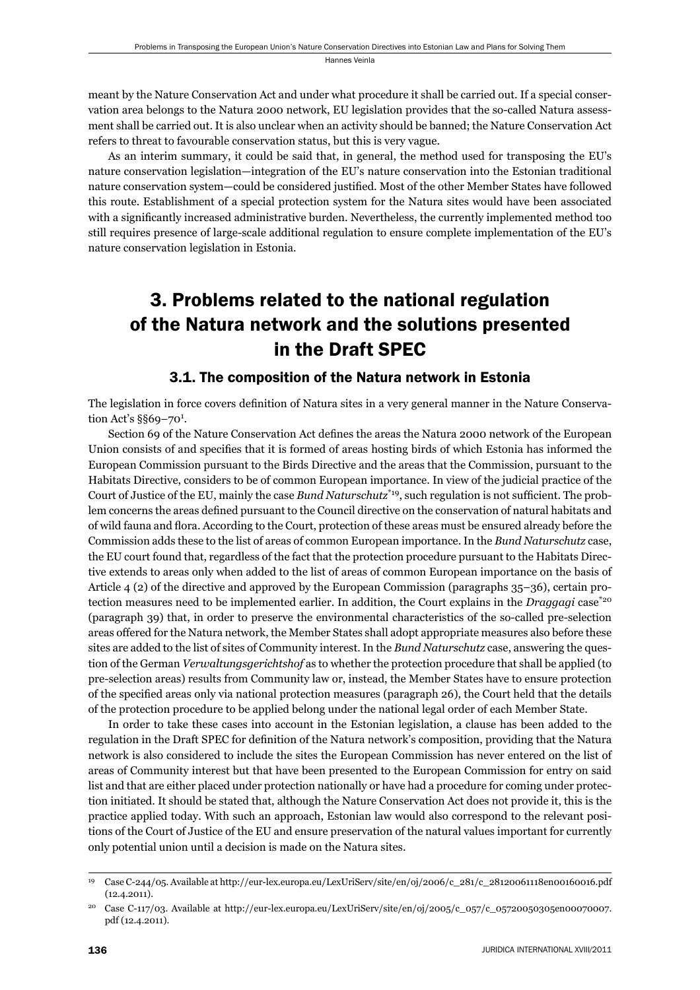meant by the Nature Conservation Act and under what procedure it shall be carried out. If a special conservation area belongs to the Natura 2000 network, EU legislation provides that the so-called Natura assessment shall be carried out. It is also unclear when an activity should be banned; the Nature Conservation Act refers to threat to favourable conservation status, but this is very vague.

As an interim summary, it could be said that, in general, the method used for transposing the EU's nature conservation legislation—integration of the EU's nature conservation into the Estonian traditional nature conservation system—could be considered justified. Most of the other Member States have followed this route. Establishment of a special protection system for the Natura sites would have been associated with a significantly increased administrative burden. Nevertheless, the currently implemented method too still requires presence of large-scale additional regulation to ensure complete implementation of the EU's nature conservation legislation in Estonia.

## 3. Problems related to the national regulation of the Natura network and the solutions presented in the Draft SPEC

## 3.1. The composition of the Natura network in Estonia

The legislation in force covers definition of Natura sites in a very general manner in the Nature Conservation Act's §§69-70<sup>1</sup>.

Section 69 of the Nature Conservation Act defines the areas the Natura 2000 network of the European Union consists of and specifies that it is formed of areas hosting birds of which Estonia has informed the European Commission pursuant to the Birds Directive and the areas that the Commission, pursuant to the Habitats Directive, considers to be of common European importance. In view of the judicial practice of the Court of Justice of the EU, mainly the case *Bund Naturschutz*<sup>\*19</sup>, such regulation is not sufficient. The problem concerns the areas defined pursuant to the Council directive on the conservation of natural habitats and of wild fauna and flora. According to the Court, protection of these areas must be ensured already before the Commission adds these to the list of areas of common European importance. In the *Bund Naturschutz* case, the EU court found that, regardless of the fact that the protection procedure pursuant to the Habitats Directive extends to areas only when added to the list of areas of common European importance on the basis of Article 4 (2) of the directive and approved by the European Commission (paragraphs 35–36), certain protection measures need to be implemented earlier. In addition, the Court explains in the *Draggagi* case<sup>\*20</sup> (paragraph 39) that, in order to preserve the environmental characteristics of the so-called pre-selection areas offered for the Natura network, the Member States shall adopt appropriate measures also before these sites are added to the list of sites of Community interest. In the *Bund Naturschutz* case, answering the question of the German *Verwaltungsgerichtshof* as to whether the protection procedure that shall be applied (to pre-selection areas) results from Community law or, instead, the Member States have to ensure protection of the specified areas only via national protection measures (paragraph 26), the Court held that the details of the protection procedure to be applied belong under the national legal order of each Member State.

In order to take these cases into account in the Estonian legislation, a clause has been added to the regulation in the Draft SPEC for definition of the Natura network's composition, providing that the Natura network is also considered to include the sites the European Commission has never entered on the list of areas of Community interest but that have been presented to the European Commission for entry on said list and that are either placed under protection nationally or have had a procedure for coming under protection initiated. It should be stated that, although the Nature Conservation Act does not provide it, this is the practice applied today. With such an approach, Estonian law would also correspond to the relevant positions of the Court of Justice of the EU and ensure preservation of the natural values important for currently only potential union until a decision is made on the Natura sites.

<sup>19</sup> Case C-244/05. Available at http://eur-lex.europa.eu/LexUriServ/site/en/oj/2006/c\_281/c\_28120061118en00160016.pdf (12.4.2011).

<sup>20</sup> Case C-117/03. Available at http://eur-lex.europa.eu/LexUriServ/site/en/oj/2005/c\_057/c\_05720050305en00070007. pdf (12.4.2011).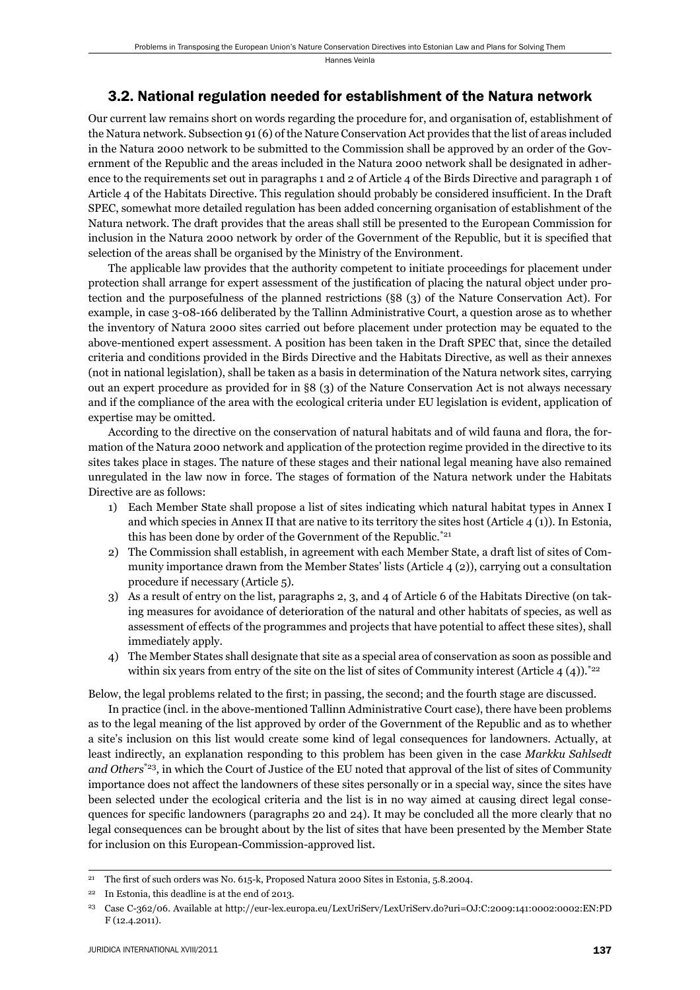### 3.2. National regulation needed for establishment of the Natura network

Our current law remains short on words regarding the procedure for, and organisation of, establishment of the Natura network. Subsection 91 (6) of the Nature Conservation Act provides that the list of areas included in the Natura 2000 network to be submitted to the Commission shall be approved by an order of the Government of the Republic and the areas included in the Natura 2000 network shall be designated in adherence to the requirements set out in paragraphs 1 and 2 of Article 4 of the Birds Directive and paragraph 1 of Article 4 of the Habitats Directive. This regulation should probably be considered insufficient. In the Draft SPEC, somewhat more detailed regulation has been added concerning organisation of establishment of the Natura network. The draft provides that the areas shall still be presented to the European Commission for inclusion in the Natura 2000 network by order of the Government of the Republic, but it is specified that selection of the areas shall be organised by the Ministry of the Environment.

The applicable law provides that the authority competent to initiate proceedings for placement under protection shall arrange for expert assessment of the justification of placing the natural object under protection and the purposefulness of the planned restrictions (§8 (3) of the Nature Conservation Act). For example, in case 3-08-166 deliberated by the Tallinn Administrative Court, a question arose as to whether the inventory of Natura 2000 sites carried out before placement under protection may be equated to the above-mentioned expert assessment. A position has been taken in the Draft SPEC that, since the detailed criteria and conditions provided in the Birds Directive and the Habitats Directive, as well as their annexes (not in national legislation), shall be taken as a basis in determination of the Natura network sites, carrying out an expert procedure as provided for in §8 (3) of the Nature Conservation Act is not always necessary and if the compliance of the area with the ecological criteria under EU legislation is evident, application of expertise may be omitted.

According to the directive on the conservation of natural habitats and of wild fauna and flora, the formation of the Natura 2000 network and application of the protection regime provided in the directive to its sites takes place in stages. The nature of these stages and their national legal meaning have also remained unregulated in the law now in force. The stages of formation of the Natura network under the Habitats Directive are as follows:

- 1) Each Member State shall propose a list of sites indicating which natural habitat types in Annex I and which species in Annex II that are native to its territory the sites host (Article 4 (1)). In Estonia, this has been done by order of the Government of the Republic.\*21
- 2) The Commission shall establish, in agreement with each Member State, a draft list of sites of Community importance drawn from the Member States' lists (Article 4 (2)), carrying out a consultation procedure if necessary (Article 5).
- 3) As a result of entry on the list, paragraphs 2, 3, and 4 of Article 6 of the Habitats Directive (on taking measures for avoidance of deterioration of the natural and other habitats of species, as well as assessment of effects of the programmes and projects that have potential to affect these sites), shall immediately apply.
- 4) The Member States shall designate that site as a special area of conservation as soon as possible and within six years from entry of the site on the list of sites of Community interest (Article 4 (4)).<sup>\*22</sup>

Below, the legal problems related to the first; in passing, the second; and the fourth stage are discussed.

In practice (incl. in the above-mentioned Tallinn Administrative Court case), there have been problems as to the legal meaning of the list approved by order of the Government of the Republic and as to whether a site's inclusion on this list would create some kind of legal consequences for landowners. Actually, at least indirectly, an explanation responding to this problem has been given in the case *Markku Sahlsedt and Others*\*23, in which the Court of Justice of the EU noted that approval of the list of sites of Community importance does not affect the landowners of these sites personally or in a special way, since the sites have been selected under the ecological criteria and the list is in no way aimed at causing direct legal consequences for specific landowners (paragraphs 20 and 24). It may be concluded all the more clearly that no legal consequences can be brought about by the list of sites that have been presented by the Member State for inclusion on this European-Commission-approved list.

<sup>&</sup>lt;sup>21</sup> The first of such orders was No. 615-k, Proposed Natura 2000 Sites in Estonia, 5.8.2004.

<sup>22</sup> In Estonia, this deadline is at the end of 2013.

<sup>23</sup> Case C-362/06. Available at http://eur-lex.europa.eu/LexUriServ/LexUriServ.do?uri=OJ:C:2009:141:0002:0002:EN:PD F (12.4.2011).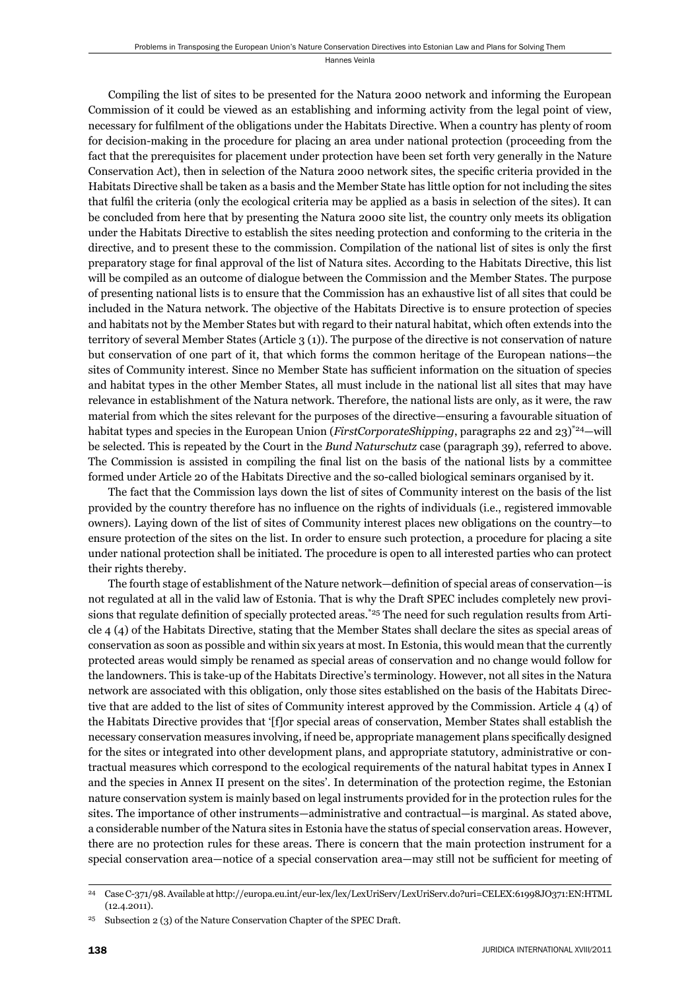Compiling the list of sites to be presented for the Natura 2000 network and informing the European Commission of it could be viewed as an establishing and informing activity from the legal point of view, necessary for fulfilment of the obligations under the Habitats Directive. When a country has plenty of room for decision-making in the procedure for placing an area under national protection (proceeding from the fact that the prerequisites for placement under protection have been set forth very generally in the Nature Conservation Act), then in selection of the Natura 2000 network sites, the specific criteria provided in the Habitats Directive shall be taken as a basis and the Member State has little option for not including the sites that fulfi l the criteria (only the ecological criteria may be applied as a basis in selection of the sites). It can be concluded from here that by presenting the Natura 2000 site list, the country only meets its obligation under the Habitats Directive to establish the sites needing protection and conforming to the criteria in the directive, and to present these to the commission. Compilation of the national list of sites is only the first preparatory stage for final approval of the list of Natura sites. According to the Habitats Directive, this list will be compiled as an outcome of dialogue between the Commission and the Member States. The purpose of presenting national lists is to ensure that the Commission has an exhaustive list of all sites that could be included in the Natura network. The objective of the Habitats Directive is to ensure protection of species and habitats not by the Member States but with regard to their natural habitat, which often extends into the territory of several Member States (Article 3 (1)). The purpose of the directive is not conservation of nature but conservation of one part of it, that which forms the common heritage of the European nations—the sites of Community interest. Since no Member State has sufficient information on the situation of species and habitat types in the other Member States, all must include in the national list all sites that may have relevance in establishment of the Natura network. Therefore, the national lists are only, as it were, the raw material from which the sites relevant for the purposes of the directive—ensuring a favourable situation of habitat types and species in the European Union (*FirstCorporateShipping*, paragraphs 22 and 23)\*24—will be selected. This is repeated by the Court in the *Bund Naturschutz* case (paragraph 39), referred to above. The Commission is assisted in compiling the final list on the basis of the national lists by a committee formed under Article 20 of the Habitats Directive and the so-called biological seminars organised by it.

The fact that the Commission lays down the list of sites of Community interest on the basis of the list provided by the country therefore has no influence on the rights of individuals (i.e., registered immovable owners). Laying down of the list of sites of Community interest places new obligations on the country—to ensure protection of the sites on the list. In order to ensure such protection, a procedure for placing a site under national protection shall be initiated. The procedure is open to all interested parties who can protect their rights thereby.

The fourth stage of establishment of the Nature network—definition of special areas of conservation—is not regulated at all in the valid law of Estonia. That is why the Draft SPEC includes completely new provisions that regulate definition of specially protected areas.<sup>\*25</sup> The need for such regulation results from Article 4 (4) of the Habitats Directive, stating that the Member States shall declare the sites as special areas of conservation as soon as possible and within six years at most. In Estonia, this would mean that the currently protected areas would simply be renamed as special areas of conservation and no change would follow for the landowners. This is take-up of the Habitats Directive's terminology. However, not all sites in the Natura network are associated with this obligation, only those sites established on the basis of the Habitats Directive that are added to the list of sites of Community interest approved by the Commission. Article 4 (4) of the Habitats Directive provides that '[f]or special areas of conservation, Member States shall establish the necessary conservation measures involving, if need be, appropriate management plans specifically designed for the sites or integrated into other development plans, and appropriate statutory, administrative or contractual measures which correspond to the ecological requirements of the natural habitat types in Annex I and the species in Annex II present on the sites'. In determination of the protection regime, the Estonian nature conservation system is mainly based on legal instruments provided for in the protection rules for the sites. The importance of other instruments—administrative and contractual—is marginal. As stated above, a considerable number of the Natura sites in Estonia have the status of special conservation areas. However, there are no protection rules for these areas. There is concern that the main protection instrument for a special conservation area—notice of a special conservation area—may still not be sufficient for meeting of

<sup>24</sup> Case C-371/98. Available at http://europa.eu.int/eur-lex/lex/LexUriServ/LexUriServ.do?uri=CELEX:61998JO371:EN:HTML (12.4.2011).

Subsection 2 (3) of the Nature Conservation Chapter of the SPEC Draft.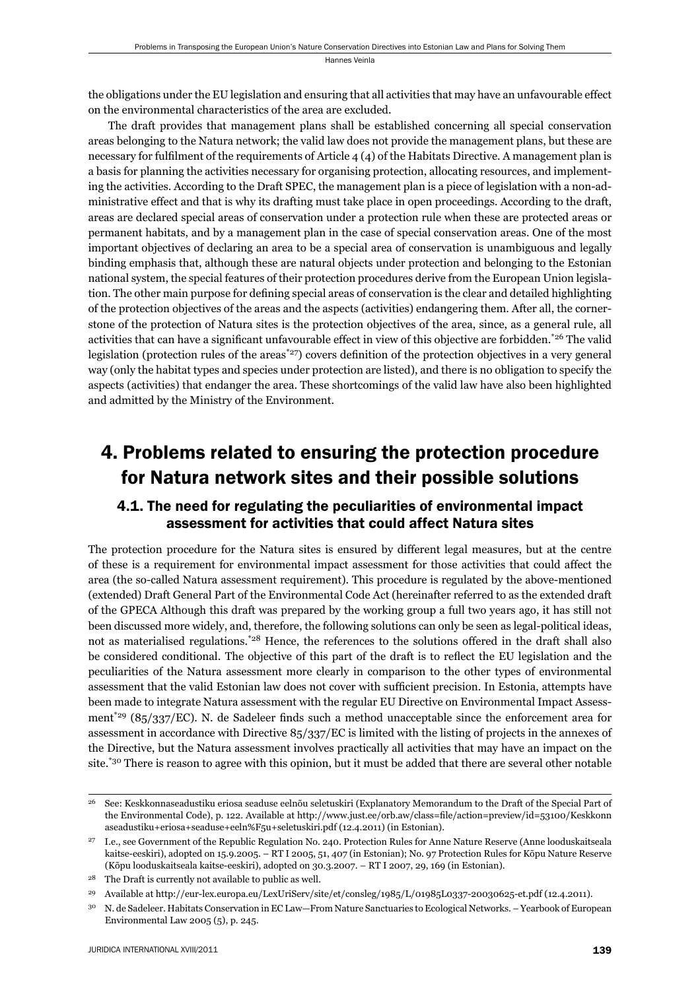the obligations under the EU legislation and ensuring that all activities that may have an unfavourable effect on the environmental characteristics of the area are excluded.

The draft provides that management plans shall be established concerning all special conservation areas belonging to the Natura network; the valid law does not provide the management plans, but these are necessary for fulfilment of the requirements of Article  $4(4)$  of the Habitats Directive. A management plan is a basis for planning the activities necessary for organising protection, allocating resources, and implementing the activities. According to the Draft SPEC, the management plan is a piece of legislation with a non-administrative effect and that is why its drafting must take place in open proceedings. According to the draft, areas are declared special areas of conservation under a protection rule when these are protected areas or permanent habitats, and by a management plan in the case of special conservation areas. One of the most important objectives of declaring an area to be a special area of conservation is unambiguous and legally binding emphasis that, although these are natural objects under protection and belonging to the Estonian national system, the special features of their protection procedures derive from the European Union legislation. The other main purpose for defining special areas of conservation is the clear and detailed highlighting of the protection objectives of the areas and the aspects (activities) endangering them. After all, the cornerstone of the protection of Natura sites is the protection objectives of the area, since, as a general rule, all activities that can have a significant unfavourable effect in view of this objective are forbidden.<sup>\*26</sup> The valid legislation (protection rules of the areas<sup>\*27</sup>) covers definition of the protection objectives in a very general way (only the habitat types and species under protection are listed), and there is no obligation to specify the aspects (activities) that endanger the area. These shortcomings of the valid law have also been highlighted and admitted by the Ministry of the Environment.

## 4. Problems related to ensuring the protection procedure for Natura network sites and their possible solutions

## 4.1. The need for regulating the peculiarities of environmental impact assessment for activities that could affect Natura sites

The protection procedure for the Natura sites is ensured by different legal measures, but at the centre of these is a requirement for environmental impact assessment for those activities that could affect the area (the so-called Natura assessment requirement). This procedure is regulated by the above-mentioned (extended) Draft General Part of the Environmental Code Act (hereinafter referred to as the extended draft of the GPECA Although this draft was prepared by the working group a full two years ago, it has still not been discussed more widely, and, therefore, the following solutions can only be seen as legal-political ideas, not as materialised regulations.\*<sup>28</sup> Hence, the references to the solutions offered in the draft shall also be considered conditional. The objective of this part of the draft is to reflect the EU legislation and the peculiarities of the Natura assessment more clearly in comparison to the other types of environmental assessment that the valid Estonian law does not cover with sufficient precision. In Estonia, attempts have been made to integrate Natura assessment with the regular EU Directive on Environmental Impact Assessment<sup>\*29</sup> (85/337/EC). N. de Sadeleer finds such a method unacceptable since the enforcement area for assessment in accordance with Directive 85/337/EC is limited with the listing of projects in the annexes of the Directive, but the Natura assessment involves practically all activities that may have an impact on the site.\*30 There is reason to agree with this opinion, but it must be added that there are several other notable

<sup>26</sup> See: Keskkonnaseadustiku eriosa seaduse eelnõu seletuskiri (Explanatory Memorandum to the Draft of the Special Part of the Environmental Code), p. 122. Available at http://www.just.ee/orb.aw/class=file/action=preview/id=53100/Keskkonn aseadustiku+eriosa+seaduse+eeln%F5u+seletuskiri.pdf (12.4.2011) (in Estonian).

<sup>27</sup> I.e., see Government of the Republic Regulation No. 240. Protection Rules for Anne Nature Reserve (Anne looduskaitseala kaitse-eeskiri), adopted on 15.9.2005. – RT I 2005, 51, 407 (in Estonian); No. 97 Protection Rules for Kõpu Nature Reserve (Kõpu looduskaitseala kaitse-eeskiri), adopted on 30.3.2007. – RT I 2007, 29, 169 (in Estonian).

<sup>28</sup> The Draft is currently not available to public as well.

<sup>29</sup> Available at http://eur-lex.europa.eu/LexUriServ/site/et/consleg/1985/L/01985L0337-20030625-et.pdf (12.4.2011).

<sup>30</sup> N. de Sadeleer. Habitats Conservation in EC Law—From Nature Sanctuaries to Ecological Networks. – Yearbook of European Environmental Law 2005 (5), p. 245.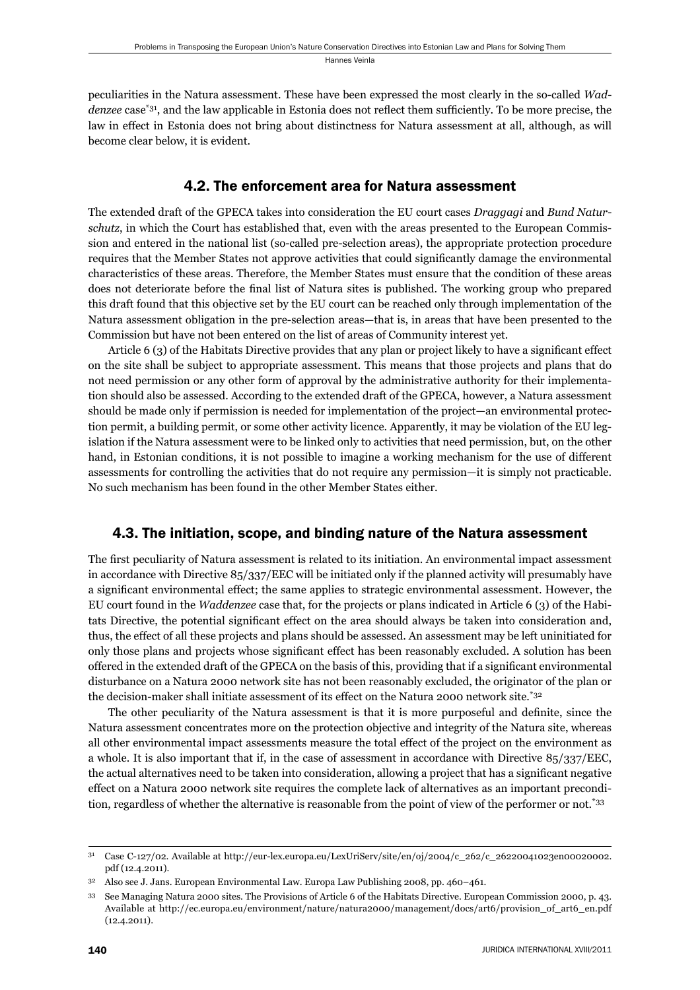peculiarities in the Natura assessment. These have been expressed the most clearly in the so-called *Waddenzee* case<sup>\*31</sup>, and the law applicable in Estonia does not reflect them sufficiently. To be more precise, the law in effect in Estonia does not bring about distinctness for Natura assessment at all, although, as will become clear below, it is evident.

### 4.2. The enforcement area for Natura assessment

The extended draft of the GPECA takes into consideration the EU court cases *Draggagi* and *Bund Naturschutz*, in which the Court has established that, even with the areas presented to the European Commission and entered in the national list (so-called pre-selection areas), the appropriate protection procedure requires that the Member States not approve activities that could significantly damage the environmental characteristics of these areas. Therefore, the Member States must ensure that the condition of these areas does not deteriorate before the final list of Natura sites is published. The working group who prepared this draft found that this objective set by the EU court can be reached only through implementation of the Natura assessment obligation in the pre-selection areas—that is, in areas that have been presented to the Commission but have not been entered on the list of areas of Community interest yet.

Article 6 (3) of the Habitats Directive provides that any plan or project likely to have a significant effect on the site shall be subject to appropriate assessment. This means that those projects and plans that do not need permission or any other form of approval by the administrative authority for their implementation should also be assessed. According to the extended draft of the GPECA, however, a Natura assessment should be made only if permission is needed for implementation of the project—an environmental protection permit, a building permit, or some other activity licence. Apparently, it may be violation of the EU legislation if the Natura assessment were to be linked only to activities that need permission, but, on the other hand, in Estonian conditions, it is not possible to imagine a working mechanism for the use of different assessments for controlling the activities that do not require any permission—it is simply not practicable. No such mechanism has been found in the other Member States either.

## 4.3. The initiation, scope, and binding nature of the Natura assessment

The first peculiarity of Natura assessment is related to its initiation. An environmental impact assessment in accordance with Directive 85/337/EEC will be initiated only if the planned activity will presumably have a significant environmental effect; the same applies to strategic environmental assessment. However, the EU court found in the *Waddenzee* case that, for the projects or plans indicated in Article 6 (3) of the Habitats Directive, the potential significant effect on the area should always be taken into consideration and, thus, the effect of all these projects and plans should be assessed. An assessment may be left uninitiated for only those plans and projects whose significant effect has been reasonably excluded. A solution has been offered in the extended draft of the GPECA on the basis of this, providing that if a significant environmental disturbance on a Natura 2000 network site has not been reasonably excluded, the originator of the plan or the decision-maker shall initiate assessment of its effect on the Natura 2000 network site.\*32

The other peculiarity of the Natura assessment is that it is more purposeful and definite, since the Natura assessment concentrates more on the protection objective and integrity of the Natura site, whereas all other environmental impact assessments measure the total effect of the project on the environment as a whole. It is also important that if, in the case of assessment in accordance with Directive 85/337/EEC, the actual alternatives need to be taken into consideration, allowing a project that has a significant negative effect on a Natura 2000 network site requires the complete lack of alternatives as an important precondition, regardless of whether the alternative is reasonable from the point of view of the performer or not.<sup>\*33</sup>

<sup>31</sup> Case C-127/02. Available at http://eur-lex.europa.eu/LexUriServ/site/en/oj/2004/c\_262/c\_26220041023en00020002. pdf (12.4.2011).

<sup>32</sup> Also see J. Jans. European Environmental Law. Europa Law Publishing 2008, pp. 460–461.

<sup>33</sup> See Managing Natura 2000 sites. The Provisions of Article 6 of the Habitats Directive. European Commission 2000, p. 43. Available at http://ec.europa.eu/environment/nature/natura2000/management/docs/art6/provision\_of\_art6\_en.pdf (12.4.2011).